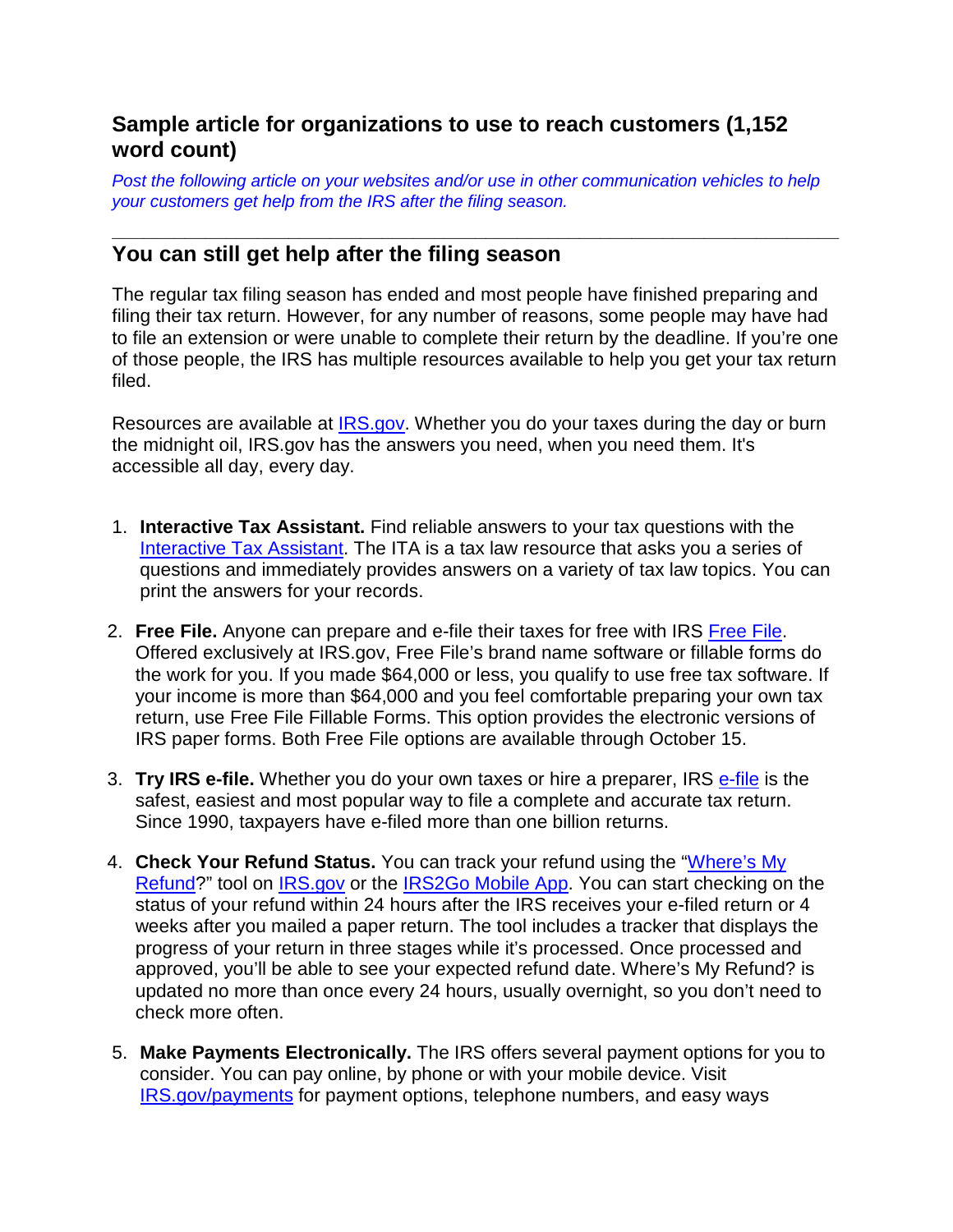## **Sample article for organizations to use to reach customers (1,152 word count)**

*Post the following article on your websites and/or use in other communication vehicles to help your customers get help from the IRS after the filing season.* 

## **\_\_\_\_\_\_\_\_\_\_\_\_\_\_\_\_\_\_\_\_\_\_\_\_\_\_\_\_\_\_\_\_\_\_\_\_\_\_\_\_\_\_\_\_\_\_\_\_\_\_\_\_\_\_\_\_\_\_\_\_\_\_\_\_\_\_\_\_\_\_ You can still get help after the filing season**

The regular tax filing season has ended and most people have finished preparing and filing their tax return. However, for any number of reasons, some people may have had to file an extension or were unable to complete their return by the deadline. If you're one of those people, the IRS has multiple resources available to help you get your tax return filed.

Resources are available at **IRS.gov**. Whether you do your taxes during the day or burn the midnight oil, IRS.gov has the answers you need, when you need them. It's accessible all day, every day.

- 1. **Interactive Tax Assistant.** Find reliable answers to your tax questions with the [Interactive Tax Assistant.](https://www.irs.gov/uac/interactive-tax-assistant-ita-1) The ITA is a tax law resource that asks you a series of questions and immediately provides answers on a variety of tax law topics. You can print the answers for your records.
- 2. **Free File.** Anyone can prepare and e-file their taxes for free with IRS [Free File.](https://www.irs.gov/uac/free-file-do-your-federal-taxes-for-free) Offered exclusively at IRS.gov, Free File's brand name software or fillable forms do the work for you. If you made \$64,000 or less, you qualify to use free tax software. If your income is more than \$64,000 and you feel comfortable preparing your own tax return, use Free File Fillable Forms. This option provides the electronic versions of IRS paper forms. Both Free File options are available through October 15.
- 3. **Try IRS e-file.** Whether you do your own taxes or hire a preparer, IRS [e-file](https://www.irs.gov/filing/e-file-options) is the safest, easiest and most popular way to file a complete and accurate tax return. Since 1990, taxpayers have e-filed more than one billion returns.
- 4. **Check Your Refund Status.** You can track your refund using the ["Where's My](http://www.irs.gov/Refunds/Where) [Refund?](http://www.irs.gov/Refunds/Where)" tool on [IRS.gov](https://www.irs.gov/) or the [IRS2Go Mobile App.](https://www.irs.gov/uac/New-IRS2Go-Offers-Three-More-Features) You can start checking on the status of your refund within 24 hours after the IRS receives your e-filed return or 4 weeks after you mailed a paper return. The tool includes a tracker that displays the progress of your return in three stages while it's processed. Once processed and approved, you'll be able to see your expected refund date. Where's My Refund? is updated no more than once every 24 hours, usually overnight, so you don't need to check more often.
- 5. **Make Payments Electronically.** The IRS offers several payment options for you to consider. You can pay online, by phone or with your mobile device. Visit [IRS.gov/payments](https://www.irs.gov/payments) for payment options, telephone numbers, and easy ways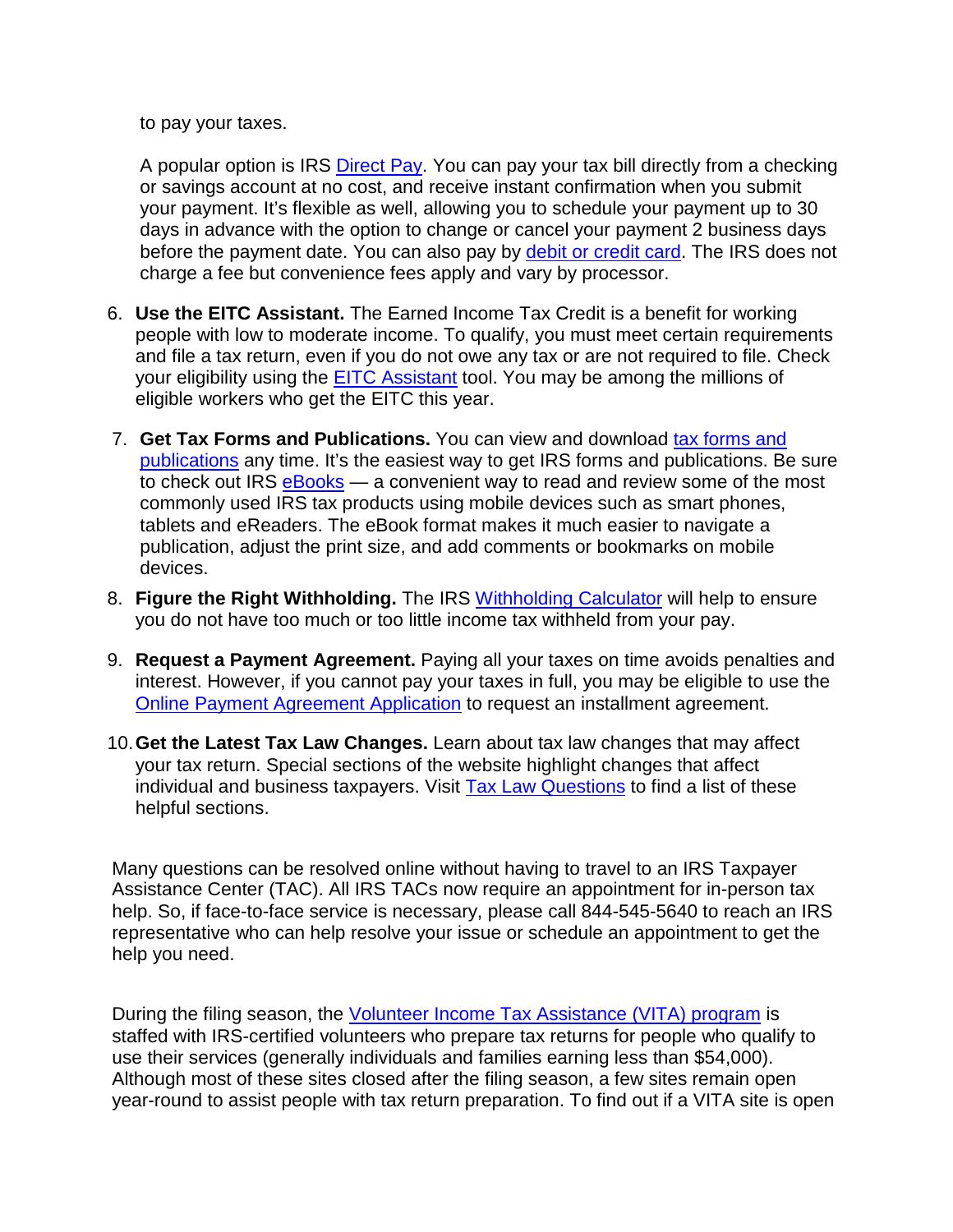to pay your taxes.

A popular option is IRS [Direct Pay.](https://www.irs.gov/Payments/Direct-Pay) You can pay your tax bill directly from a checking or savings account at no cost, and receive instant confirmation when you submit your payment. It's flexible as well, allowing you to schedule your payment up to 30 days in advance with the option to change or cancel your payment 2 business days before the payment date. You can also pay by [debit or credit card.](https://www.irs.gov/uac/Pay-Taxes-by-Credit-or-Debit-Card) The IRS does not charge a fee but convenience fees apply and vary by processor.

- 6. **Use the EITC Assistant.** The Earned Income Tax Credit is a benefit for working people with low to moderate income. To qualify, you must meet certain requirements and file a tax return, even if you do not owe any tax or are not required to file. Check your eligibility using the [EITC Assistant](https://www.irs.gov/credits-deductions/individuals/earned-income-tax-credit/use-the-eitc-assistant) tool. You may be among the millions of eligible workers who get the EITC this year.
- 7. **Get Tax Forms and Publications.** You can view and download [tax forms and](https://www.irs.gov/forms-pubs)  [publications](https://www.irs.gov/forms-pubs) any time. It's the easiest way to get IRS forms and publications. Be sure to check out IRS [eBooks](https://www.irs.gov/forms-pubs/ebooks) — a convenient way to read and review some of the most commonly used IRS tax products using mobile devices such as smart phones, tablets and eReaders. The eBook format makes it much easier to navigate a publication, adjust the print size, and add comments or bookmarks on mobile devices.
- 8. **Figure the Right Withholding.** The IRS [Withholding Calculator](https://www.irs.gov/individuals/irs-withholding-calculator) will help to ensure you do not have too much or too little income tax withheld from your pay.
- 9. **Request a Payment Agreement.** Paying all your taxes on time avoids penalties and interest. However, if you cannot pay your taxes in full, you may be eligible to use the [Online Payment Agreement Application](https://www.irs.gov/individuals/online-payment-agreement-application) to request an installment agreement.
- 10.**Get the Latest Tax Law Changes.** Learn about tax law changes that may affect your tax return. Special sections of the website highlight changes that affect individual and business taxpayers. Visit [Tax Law Questions](https://www.irs.gov/uac/tax-law-questions) to find a list of these helpful sections.

Many questions can be resolved online without having to travel to an IRS Taxpayer Assistance Center (TAC). All IRS TACs now require an appointment for in-person tax help. So, if face-to-face service is necessary, please call 844-545-5640 to reach an IRS representative who can help resolve your issue or schedule an appointment to get the help you need.

During the filing season, the [Volunteer Income Tax Assistance \(VITA\) program](https://www.irs.gov/individuals/free-tax-return-preparation-for-you-by-volunteers) is staffed with IRS-certified volunteers who prepare tax returns for people who qualify to use their services (generally individuals and families earning less than \$54,000). Although most of these sites closed after the filing season, a few sites remain open year-round to assist people with tax return preparation. To find out if a VITA site is open